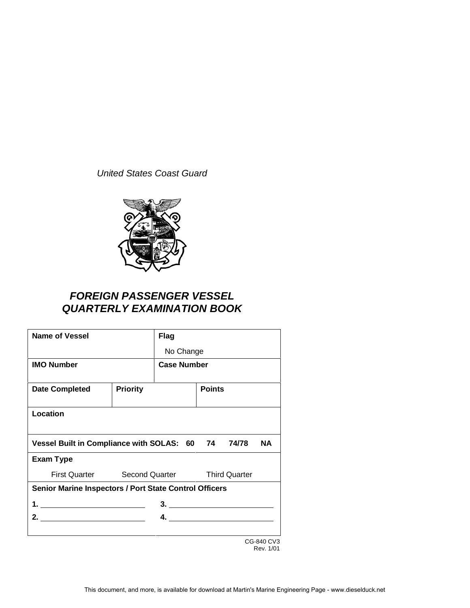United States Coast Guard



# **FOREIGN PASSENGER VESSEL QUARTERLY EXAMINATION BOOK**

| <b>Name of Vessel</b>                                  |                                            | <b>Flag</b>     |               |  |            |
|--------------------------------------------------------|--------------------------------------------|-----------------|---------------|--|------------|
|                                                        |                                            | No Change       |               |  |            |
| <b>IMO Number</b>                                      | <b>Case Number</b>                         |                 |               |  |            |
| <b>Date Completed</b>                                  | <b>Priority</b>                            |                 | <b>Points</b> |  |            |
| Location                                               |                                            |                 |               |  |            |
| Vessel Built in Compliance with SOLAS: 60 74 74/78     |                                            |                 |               |  | <b>NA</b>  |
| <b>Exam Type</b>                                       |                                            |                 |               |  |            |
|                                                        | First Quarter Second Quarter Third Quarter |                 |               |  |            |
| Senior Marine Inspectors / Port State Control Officers |                                            |                 |               |  |            |
| 3.                                                     |                                            |                 |               |  |            |
|                                                        |                                            | $\overline{4.}$ |               |  |            |
|                                                        |                                            |                 |               |  | CG-840 CV3 |

Rev. 1/01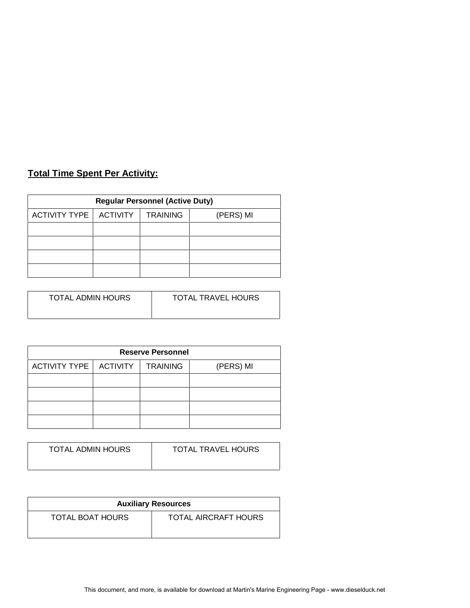# **Total Time Spent Per Activity:**

| <b>Regular Personnel (Active Duty)</b> |          |                 |           |  |  |  |
|----------------------------------------|----------|-----------------|-----------|--|--|--|
| <b>ACTIVITY TYPE</b>                   | ACTIVITY | <b>TRAINING</b> | (PERS) MI |  |  |  |
|                                        |          |                 |           |  |  |  |
|                                        |          |                 |           |  |  |  |
|                                        |          |                 |           |  |  |  |
|                                        |          |                 |           |  |  |  |

| TOTAL ADMIN HOURS<br><b>TOTAL TRAVEL HOURS</b> |  |
|------------------------------------------------|--|
|                                                |  |

| <b>Reserve Personnel</b> |  |                 |           |  |  |  |  |
|--------------------------|--|-----------------|-----------|--|--|--|--|
| ACTIVITY TYPE   ACTIVITY |  | <b>TRAINING</b> | (PERS) MI |  |  |  |  |
|                          |  |                 |           |  |  |  |  |
|                          |  |                 |           |  |  |  |  |
|                          |  |                 |           |  |  |  |  |
|                          |  |                 |           |  |  |  |  |

| TOTAL ADMIN HOURS | <b>TOTAL TRAVEL HOURS</b> |
|-------------------|---------------------------|
|                   |                           |

| <b>Auxiliary Resources</b> |                      |  |  |  |
|----------------------------|----------------------|--|--|--|
| TOTAL BOAT HOURS           | TOTAL AIRCRAFT HOURS |  |  |  |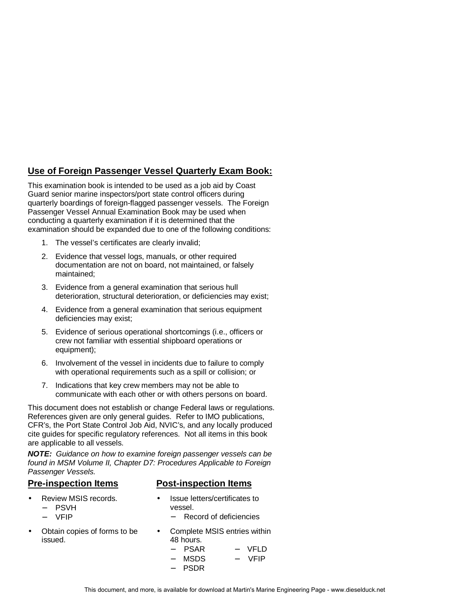### **Use of Foreign Passenger Vessel Quarterly Exam Book:**

This examination book is intended to be used as a job aid by Coast Guard senior marine inspectors/port state control officers during quarterly boardings of foreign-flagged passenger vessels. The Foreign Passenger Vessel Annual Examination Book may be used when conducting a quarterly examination if it is determined that the examination should be expanded due to one of the following conditions:

- 1. The vessel's certificates are clearly invalid;
- 2. Evidence that vessel logs, manuals, or other required documentation are not on board, not maintained, or falsely maintained;
- 3. Evidence from a general examination that serious hull deterioration, structural deterioration, or deficiencies may exist;
- 4. Evidence from a general examination that serious equipment deficiencies may exist;
- 5. Evidence of serious operational shortcomings (i.e., officers or crew not familiar with essential shipboard operations or equipment);
- 6. Involvement of the vessel in incidents due to failure to comply with operational requirements such as a spill or collision; or
- 7. Indications that key crew members may not be able to communicate with each other or with others persons on board.

This document does not establish or change Federal laws or regulations. References given are only general guides. Refer to IMO publications, CFR's, the Port State Control Job Aid, NVIC's, and any locally produced cite guides for specific regulatory references. Not all items in this book are applicable to all vessels.

**NOTE:** Guidance on how to examine foreign passenger vessels can be found in MSM Volume II, Chapter D7: Procedures Applicable to Foreign Passenger Vessels.

#### **Pre-inspection Items Post-inspection Items**

- Review MSIS records.
	- − PSVH
	- − VFIP
- Obtain copies of forms to be issued.
- Issue letters/certificates to vessel.
	- − Record of deficiencies
- Complete MSIS entries within 48 hours. − PSAR − MSDS − VFLD − VFIP
	- − PSDR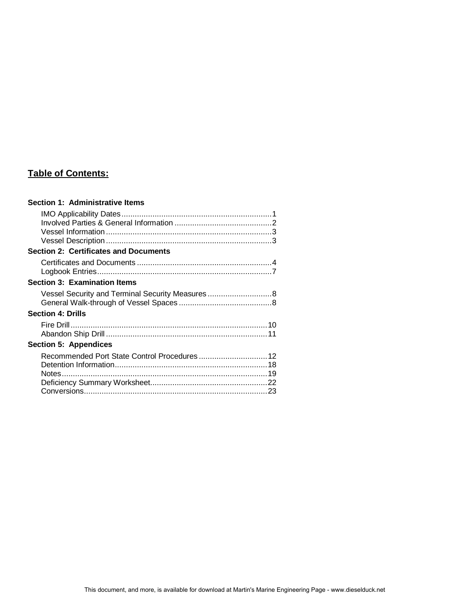# **Table of Contents:**

| <b>Section 2: Certificates and Documents</b><br><b>Section 3: Examination Items</b><br>Vessel Security and Terminal Security Measures8<br><b>Section 4: Drills</b><br><b>Section 5: Appendices</b> | Section 1: Administrative Items |  |
|----------------------------------------------------------------------------------------------------------------------------------------------------------------------------------------------------|---------------------------------|--|
|                                                                                                                                                                                                    |                                 |  |
|                                                                                                                                                                                                    |                                 |  |
|                                                                                                                                                                                                    |                                 |  |
|                                                                                                                                                                                                    |                                 |  |
|                                                                                                                                                                                                    |                                 |  |
|                                                                                                                                                                                                    |                                 |  |
|                                                                                                                                                                                                    |                                 |  |
|                                                                                                                                                                                                    |                                 |  |
|                                                                                                                                                                                                    |                                 |  |
|                                                                                                                                                                                                    |                                 |  |
|                                                                                                                                                                                                    |                                 |  |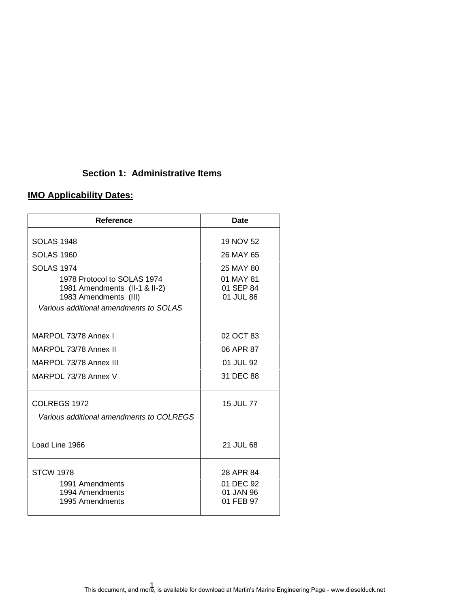## **Section 1: Administrative Items**

# **IMO Applicability Dates:**

| Reference                                                                             | Date                                             |
|---------------------------------------------------------------------------------------|--------------------------------------------------|
| <b>SOLAS 1948</b>                                                                     | 19 NOV 52                                        |
| <b>SOLAS 1960</b>                                                                     | 26 MAY 65                                        |
| <b>SOLAS 1974</b>                                                                     | 25 MAY 80                                        |
| 1978 Protocol to SOLAS 1974<br>1981 Amendments (II-1 & II-2)<br>1983 Amendments (III) | 01 MAY 81<br>01 SEP 84<br>01 JUL 86              |
| Various additional amendments to SOLAS                                                |                                                  |
| MARPOL 73/78 Annex I                                                                  | 02 OCT 83                                        |
| MARPOL 73/78 Annex II                                                                 | 06 APR 87                                        |
| MARPOL 73/78 Annex III                                                                | 01 JUL 92                                        |
| MARPOL 73/78 Annex V                                                                  | 31 DEC 88                                        |
| COLREGS 1972<br>Various additional amendments to COLREGS                              | 15 JUL 77                                        |
| Load Line 1966                                                                        | 21 JUL 68                                        |
| <b>STCW 1978</b><br>1991 Amendments<br>1994 Amendments<br>1995 Amendments             | 28 APR 84<br>01 DEC 92<br>01 JAN 96<br>01 FEB 97 |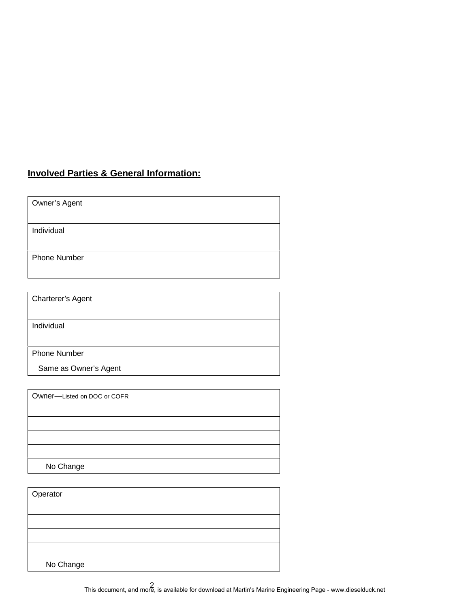## **Involved Parties & General Information:**

Owner's Agent

Individual

Phone Number

Charterer's Agent

Individual

Phone Number

Same as Owner's Agent

Owner—Listed on DOC or COFR No Change

| Operator  |  |
|-----------|--|
|           |  |
|           |  |
|           |  |
|           |  |
| No Change |  |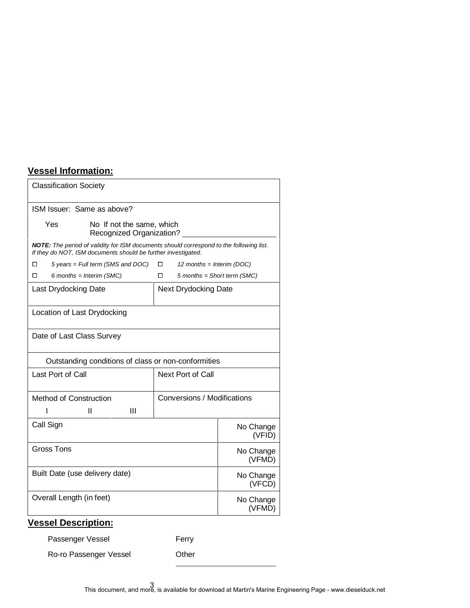# **Vessel Information:**

| <b>Classification Society</b>                                                                                                                            |                                    |  |  |  |  |
|----------------------------------------------------------------------------------------------------------------------------------------------------------|------------------------------------|--|--|--|--|
| ISM Issuer: Same as above?                                                                                                                               |                                    |  |  |  |  |
| Yes<br>No If not the same, which<br>Recognized Organization?                                                                                             |                                    |  |  |  |  |
| NOTE: The period of validity for ISM documents should correspond to the following list.<br>If they do NOT, ISM documents should be further investigated. |                                    |  |  |  |  |
| 5 years = Full term (SMS and DOC)<br>□                                                                                                                   | □<br>12 months = Interim (DOC)     |  |  |  |  |
| 6 months = Interim $(SMC)$<br>□                                                                                                                          | $5$ months = Short term (SMC)<br>◻ |  |  |  |  |
| Last Drydocking Date                                                                                                                                     | <b>Next Drydocking Date</b>        |  |  |  |  |
| Location of Last Drydocking                                                                                                                              |                                    |  |  |  |  |
| Date of Last Class Survey                                                                                                                                |                                    |  |  |  |  |
| Outstanding conditions of class or non-conformities                                                                                                      |                                    |  |  |  |  |
| Last Port of Call<br>Next Port of Call                                                                                                                   |                                    |  |  |  |  |
| Method of Construction                                                                                                                                   | Conversions / Modifications        |  |  |  |  |
| Ш<br>Ш                                                                                                                                                   |                                    |  |  |  |  |
| Call Sign                                                                                                                                                | No Change<br>(VFID)                |  |  |  |  |
| Gross Tons                                                                                                                                               | No Change<br>(VFMD)                |  |  |  |  |
| Built Date (use delivery date)                                                                                                                           | No Change<br>(VFCD)                |  |  |  |  |
| Overall Length (in feet)                                                                                                                                 | No Change<br>(VFMD)                |  |  |  |  |

# **Vessel Description:**

Passenger Vessel Ferry

Ro-ro Passenger Vessel **Drawing Community** Other

3 This document, and more, is available for download at Martin's Marine Engineering Page - www.dieselduck.net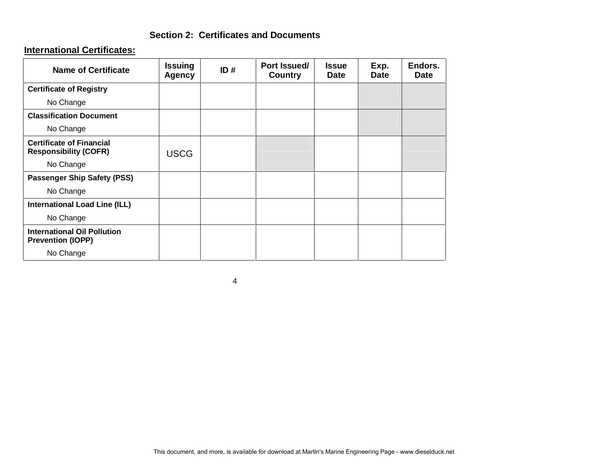### **Section 2: Certificates and Documents**

#### **International Certificates:**

| <b>Name of Certificate</b>                                      | <b>Issuing</b><br><b>Agency</b> | ID# | Port Issued/<br><b>Country</b> | <b>Issue</b><br><b>Date</b> | Exp.<br><b>Date</b> | Endors.<br><b>Date</b> |
|-----------------------------------------------------------------|---------------------------------|-----|--------------------------------|-----------------------------|---------------------|------------------------|
| <b>Certificate of Registry</b>                                  |                                 |     |                                |                             |                     |                        |
| No Change                                                       |                                 |     |                                |                             |                     |                        |
| <b>Classification Document</b>                                  |                                 |     |                                |                             |                     |                        |
| No Change                                                       |                                 |     |                                |                             |                     |                        |
| <b>Certificate of Financial</b><br><b>Responsibility (COFR)</b> | <b>USCG</b>                     |     |                                |                             |                     |                        |
| No Change                                                       |                                 |     |                                |                             |                     |                        |
| <b>Passenger Ship Safety (PSS)</b>                              |                                 |     |                                |                             |                     |                        |
| No Change                                                       |                                 |     |                                |                             |                     |                        |
| <b>International Load Line (ILL)</b>                            |                                 |     |                                |                             |                     |                        |
| No Change                                                       |                                 |     |                                |                             |                     |                        |
| <b>International Oil Pollution</b><br><b>Prevention (IOPP)</b>  |                                 |     |                                |                             |                     |                        |
| No Change                                                       |                                 |     |                                |                             |                     |                        |

4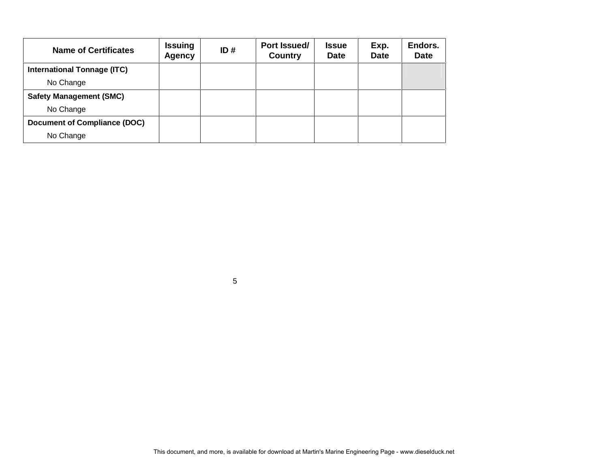| <b>Name of Certificates</b>        | <b>Issuing</b><br><b>Agency</b> | ID# | Port Issued/<br><b>Country</b> | <b>Issue</b><br><b>Date</b> | Exp.<br><b>Date</b> | Endors.<br><b>Date</b> |
|------------------------------------|---------------------------------|-----|--------------------------------|-----------------------------|---------------------|------------------------|
| <b>International Tonnage (ITC)</b> |                                 |     |                                |                             |                     |                        |
| No Change                          |                                 |     |                                |                             |                     |                        |
| <b>Safety Management (SMC)</b>     |                                 |     |                                |                             |                     |                        |
| No Change                          |                                 |     |                                |                             |                     |                        |
| Document of Compliance (DOC)       |                                 |     |                                |                             |                     |                        |
| No Change                          |                                 |     |                                |                             |                     |                        |

5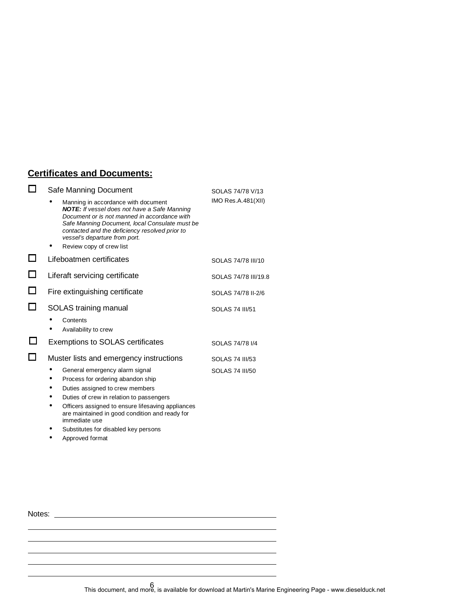## **Certificates and Documents:**

|        | Safe Manning Document                                                                                                                                                                                                                                                                                                                      | SOLAS 74/78 V/13       |  |
|--------|--------------------------------------------------------------------------------------------------------------------------------------------------------------------------------------------------------------------------------------------------------------------------------------------------------------------------------------------|------------------------|--|
|        | Manning in accordance with document<br><b>NOTE:</b> If vessel does not have a Safe Manning<br>Document or is not manned in accordance with<br>Safe Manning Document, local Consulate must be<br>contacted and the deficiency resolved prior to<br>vessel's departure from port.                                                            | IMO Res.A.481(XII)     |  |
|        | Review copy of crew list                                                                                                                                                                                                                                                                                                                   |                        |  |
| $\Box$ | Lifeboatmen certificates                                                                                                                                                                                                                                                                                                                   | SOLAS 74/78 III/10     |  |
|        | Liferaft servicing certificate                                                                                                                                                                                                                                                                                                             | SOLAS 74/78 III/19.8   |  |
|        | Fire extinguishing certificate                                                                                                                                                                                                                                                                                                             | SOLAS 74/78 II-2/6     |  |
|        | SOLAS training manual                                                                                                                                                                                                                                                                                                                      | <b>SOLAS 74 III/51</b> |  |
|        | Contents<br>Availability to crew                                                                                                                                                                                                                                                                                                           |                        |  |
|        | <b>Exemptions to SOLAS certificates</b>                                                                                                                                                                                                                                                                                                    | SOLAS 74/78 1/4        |  |
|        | Muster lists and emergency instructions                                                                                                                                                                                                                                                                                                    | SOLAS 74 III/53        |  |
|        | General emergency alarm signal<br>Process for ordering abandon ship<br>Duties assigned to crew members<br>Duties of crew in relation to passengers<br>٠<br>Officers assigned to ensure lifesaving appliances<br>are maintained in good condition and ready for<br>immediate use<br>Substitutes for disabled key persons<br>Approved format | <b>SOLAS 74 III/50</b> |  |
|        |                                                                                                                                                                                                                                                                                                                                            |                        |  |

Notes: <u>with the contract of the contract of the contract of the contract of the contract of the contract of the contract of the contract of the contract of the contract of the contract of the contract of the contract of t</u>

6 This document, and more, is available for download at Martin's Marine Engineering Page - www.dieselduck.net

<u> 1980 - Johann Barbara, martxa alemaniar a</u>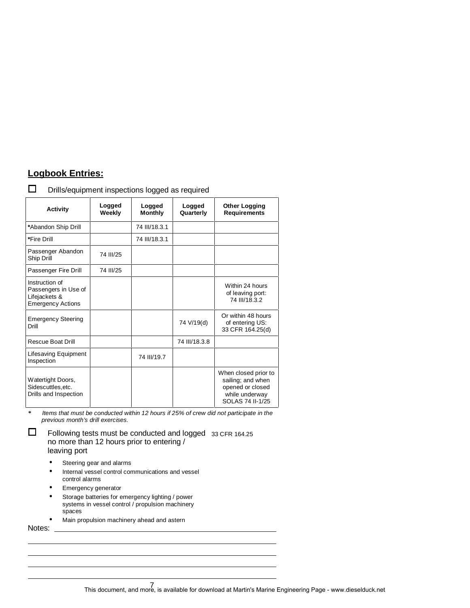## **Logbook Entries:**

| $\Box$ | Drills/equipment inspections logged as required |  |  |  |
|--------|-------------------------------------------------|--|--|--|
|--------|-------------------------------------------------|--|--|--|

| <b>Activity</b>                                                                     | Logged<br>Weekly | Logged<br><b>Monthly</b> | Logged<br>Quarterly | <b>Other Logging</b><br><b>Requirements</b>                                                         |
|-------------------------------------------------------------------------------------|------------------|--------------------------|---------------------|-----------------------------------------------------------------------------------------------------|
| *Abandon Ship Drill                                                                 |                  | 74 III/18.3.1            |                     |                                                                                                     |
| *Fire Drill                                                                         |                  | 74 III/18.3.1            |                     |                                                                                                     |
| Passenger Abandon<br>Ship Drill                                                     | 74 III/25        |                          |                     |                                                                                                     |
| Passenger Fire Drill                                                                | 74 III/25        |                          |                     |                                                                                                     |
| Instruction of<br>Passengers in Use of<br>Lifejackets &<br><b>Emergency Actions</b> |                  |                          |                     | Within 24 hours<br>of leaving port:<br>74 III/18.3.2                                                |
| <b>Emergency Steering</b><br>Drill                                                  |                  |                          | 74 V/19(d)          | Or within 48 hours<br>of entering US:<br>33 CFR 164.25(d)                                           |
| Rescue Boat Drill                                                                   |                  |                          | 74 III/18.3.8       |                                                                                                     |
| Lifesaving Equipment<br>Inspection                                                  |                  | 74 III/19.7              |                     |                                                                                                     |
| Watertight Doors,<br>Sidescuttles, etc.<br>Drills and Inspection                    |                  |                          |                     | When closed prior to<br>sailing; and when<br>opened or closed<br>while underway<br>SOLAS 74 II-1/25 |

**\*** Items that must be conducted within 12 hours if 25% of crew did not participate in the previous month's drill exercises.

 $\Box$  Following tests must be conducted and logged 33 CFR 164.25 no more than 12 hours prior to entering / leaving port

- Steering gear and alarms
- Internal vessel control communications and vessel control alarms
- Emergency generator
- Storage batteries for emergency lighting / power systems in vessel control / propulsion machinery spaces
- Main propulsion machinery ahead and astern

Notes: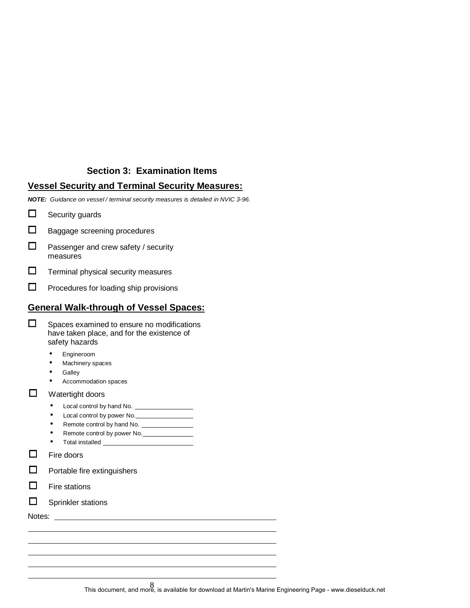## **Section 3: Examination Items**

#### **Vessel Security and Terminal Security Measures:**

**NOTE:** Guidance on vessel / terminal security measures is detailed in NVIC 3-96.

- $\Box$  Security guards
- $\Box$  Baggage screening procedures
- $\Box$  Passenger and crew safety / security measures
- $\Box$  Terminal physical security measures
- $\Box$  Procedures for loading ship provisions

#### **General Walk-through of Vessel Spaces:**

| $\Box$ | Spaces examined to ensure no modifications |
|--------|--------------------------------------------|
|        | have taken place, and for the existence of |
|        | safety hazards                             |

- Engineroom
- Machinery spaces
- Galley
- Accommodation spaces
- $\Box$  Watertight doors
	- Local control by hand No.
	- Local control by power No.
	- Remote control by hand No.
	- Remote control by power No. • Total installed

 $\Box$  Fire doors

- $\Box$  Portable fire extinguishers
- $\square$  Fire stations
- $\square$  Sprinkler stations

Notes:

8 This document, and more, is available for download at Martin's Marine Engineering Page - www.dieselduck.net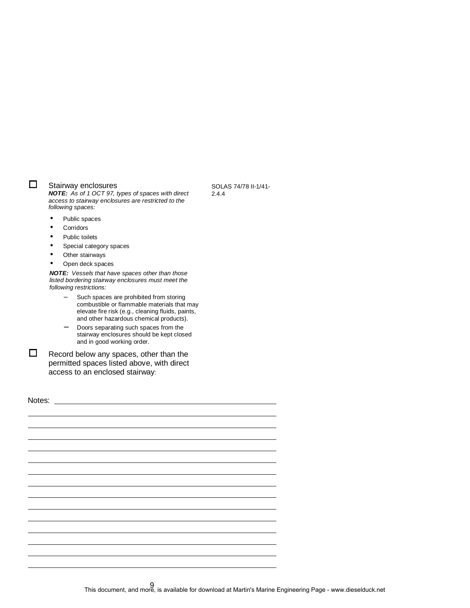|        | <b>Public toilets</b>                                                                                                                                                                                                                                                                                      |
|--------|------------------------------------------------------------------------------------------------------------------------------------------------------------------------------------------------------------------------------------------------------------------------------------------------------------|
|        | Special category spaces                                                                                                                                                                                                                                                                                    |
|        | Other stairways                                                                                                                                                                                                                                                                                            |
|        | Open deck spaces                                                                                                                                                                                                                                                                                           |
|        | NOTE: Vessels that have spaces other than those<br>listed bordering stairway enclosures must meet the<br>following restrictions:                                                                                                                                                                           |
|        | Such spaces are prohibited from storing<br>combustible or flammable materials that may<br>elevate fire risk (e.g., cleaning fluids, paints,<br>and other hazardous chemical products).<br>Doors separating such spaces from the<br>stairway enclosures should be kept closed<br>and in good working order. |
|        | Record below any spaces, other than the<br>permitted spaces listed above, with direct<br>access to an enclosed stairway:                                                                                                                                                                                   |
| Notes: |                                                                                                                                                                                                                                                                                                            |
|        |                                                                                                                                                                                                                                                                                                            |
|        |                                                                                                                                                                                                                                                                                                            |
|        |                                                                                                                                                                                                                                                                                                            |
|        |                                                                                                                                                                                                                                                                                                            |
|        |                                                                                                                                                                                                                                                                                                            |
|        |                                                                                                                                                                                                                                                                                                            |
|        |                                                                                                                                                                                                                                                                                                            |
|        |                                                                                                                                                                                                                                                                                                            |
|        |                                                                                                                                                                                                                                                                                                            |
|        |                                                                                                                                                                                                                                                                                                            |
|        |                                                                                                                                                                                                                                                                                                            |
|        |                                                                                                                                                                                                                                                                                                            |
|        |                                                                                                                                                                                                                                                                                                            |
|        |                                                                                                                                                                                                                                                                                                            |

Stairway enclosures<br> **NOTE:** As of 1 OCT 97, types of spaces with direct access to stairway enclosures are restricted to the

following spaces: • Public spaces • Corridors

SOLAS 74/78 II-1/41- 2.4.4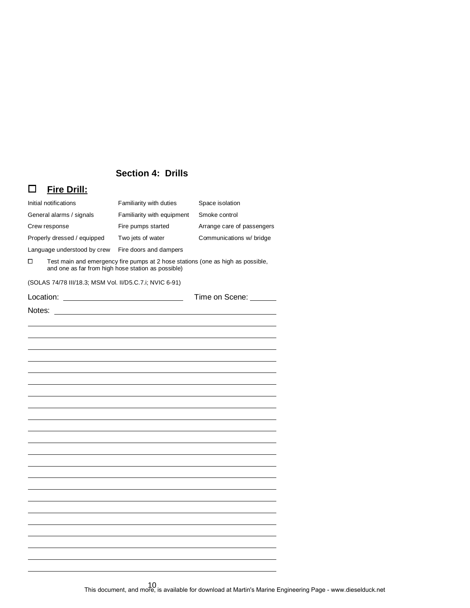# **Section 4: Drills**

# o **Fire Drill:**

| Familiarity with equipment<br>Smoke control<br>General alarms / signals<br>Fire pumps started<br>Crew response<br>Arrange care of passengers<br>Properly dressed / equipped<br>Two jets of water<br>Communications w/ bridge<br>Language understood by crew<br>Fire doors and dampers<br>Test main and emergency fire pumps at 2 hose stations (one as high as possible,<br>□<br>and one as far from high hose station as possible)<br>(SOLAS 74/78 III/18.3; MSM Vol. II/D5.C.7.i; NVIC 6-91)<br>Time on Scene: ______ | Initial notifications | Familiarity with duties<br>Space isolation |  |  |
|-------------------------------------------------------------------------------------------------------------------------------------------------------------------------------------------------------------------------------------------------------------------------------------------------------------------------------------------------------------------------------------------------------------------------------------------------------------------------------------------------------------------------|-----------------------|--------------------------------------------|--|--|
|                                                                                                                                                                                                                                                                                                                                                                                                                                                                                                                         |                       |                                            |  |  |
|                                                                                                                                                                                                                                                                                                                                                                                                                                                                                                                         |                       |                                            |  |  |
|                                                                                                                                                                                                                                                                                                                                                                                                                                                                                                                         |                       |                                            |  |  |
|                                                                                                                                                                                                                                                                                                                                                                                                                                                                                                                         |                       |                                            |  |  |
|                                                                                                                                                                                                                                                                                                                                                                                                                                                                                                                         |                       |                                            |  |  |
|                                                                                                                                                                                                                                                                                                                                                                                                                                                                                                                         |                       |                                            |  |  |
|                                                                                                                                                                                                                                                                                                                                                                                                                                                                                                                         |                       |                                            |  |  |
|                                                                                                                                                                                                                                                                                                                                                                                                                                                                                                                         |                       |                                            |  |  |
|                                                                                                                                                                                                                                                                                                                                                                                                                                                                                                                         |                       |                                            |  |  |
|                                                                                                                                                                                                                                                                                                                                                                                                                                                                                                                         |                       |                                            |  |  |
|                                                                                                                                                                                                                                                                                                                                                                                                                                                                                                                         |                       |                                            |  |  |
|                                                                                                                                                                                                                                                                                                                                                                                                                                                                                                                         |                       |                                            |  |  |
|                                                                                                                                                                                                                                                                                                                                                                                                                                                                                                                         |                       |                                            |  |  |
|                                                                                                                                                                                                                                                                                                                                                                                                                                                                                                                         |                       |                                            |  |  |
|                                                                                                                                                                                                                                                                                                                                                                                                                                                                                                                         |                       |                                            |  |  |
|                                                                                                                                                                                                                                                                                                                                                                                                                                                                                                                         |                       |                                            |  |  |
|                                                                                                                                                                                                                                                                                                                                                                                                                                                                                                                         |                       |                                            |  |  |
|                                                                                                                                                                                                                                                                                                                                                                                                                                                                                                                         |                       |                                            |  |  |
|                                                                                                                                                                                                                                                                                                                                                                                                                                                                                                                         |                       |                                            |  |  |
|                                                                                                                                                                                                                                                                                                                                                                                                                                                                                                                         |                       |                                            |  |  |
|                                                                                                                                                                                                                                                                                                                                                                                                                                                                                                                         |                       |                                            |  |  |
|                                                                                                                                                                                                                                                                                                                                                                                                                                                                                                                         |                       |                                            |  |  |
|                                                                                                                                                                                                                                                                                                                                                                                                                                                                                                                         |                       |                                            |  |  |
|                                                                                                                                                                                                                                                                                                                                                                                                                                                                                                                         |                       |                                            |  |  |
|                                                                                                                                                                                                                                                                                                                                                                                                                                                                                                                         |                       |                                            |  |  |
|                                                                                                                                                                                                                                                                                                                                                                                                                                                                                                                         |                       |                                            |  |  |
|                                                                                                                                                                                                                                                                                                                                                                                                                                                                                                                         |                       |                                            |  |  |
|                                                                                                                                                                                                                                                                                                                                                                                                                                                                                                                         |                       |                                            |  |  |
|                                                                                                                                                                                                                                                                                                                                                                                                                                                                                                                         |                       |                                            |  |  |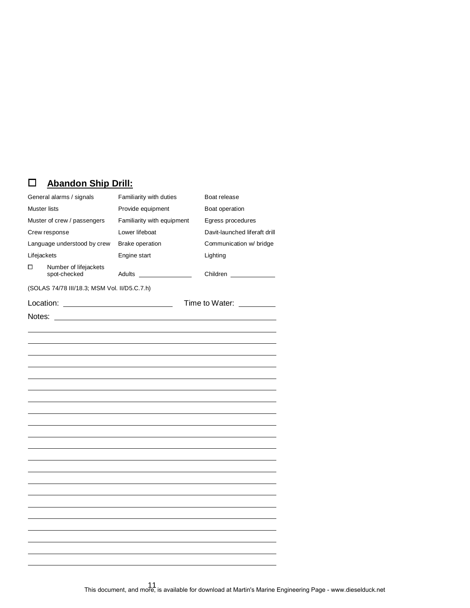# o **Abandon Ship Drill:**

| General alarms / signals    |                                              | Familiarity with duties    | Boat release                  |  |
|-----------------------------|----------------------------------------------|----------------------------|-------------------------------|--|
| <b>Muster lists</b>         |                                              | Provide equipment          | Boat operation                |  |
| Muster of crew / passengers |                                              | Familiarity with equipment | Egress procedures             |  |
|                             | Crew response                                | Lower lifeboat             | Davit-launched liferaft drill |  |
|                             | Language understood by crew                  | <b>Brake operation</b>     | Communication w/ bridge       |  |
| Lifejackets                 |                                              | Engine start               | Lighting                      |  |
| □                           | Number of lifejackets<br>spot-checked        |                            | Children ______________       |  |
|                             | (SOLAS 74/78 III/18.3; MSM Vol. II/D5.C.7.h) |                            |                               |  |
|                             |                                              |                            | Time to Water: __________     |  |
|                             |                                              |                            |                               |  |
|                             |                                              |                            |                               |  |
|                             |                                              |                            |                               |  |
|                             |                                              |                            |                               |  |
|                             |                                              |                            |                               |  |
|                             |                                              |                            |                               |  |
|                             |                                              |                            |                               |  |
|                             |                                              |                            |                               |  |
|                             |                                              |                            |                               |  |
|                             |                                              |                            |                               |  |
|                             |                                              |                            |                               |  |
|                             |                                              |                            |                               |  |
|                             |                                              |                            |                               |  |
|                             |                                              |                            |                               |  |
|                             |                                              |                            |                               |  |
|                             |                                              |                            |                               |  |
|                             |                                              |                            |                               |  |
|                             |                                              |                            |                               |  |
|                             |                                              |                            |                               |  |
|                             |                                              |                            |                               |  |
|                             |                                              |                            |                               |  |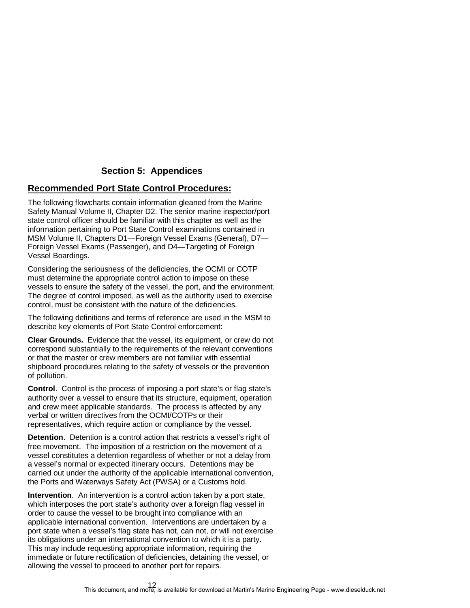#### **Section 5: Appendices**

#### **Recommended Port State Control Procedures:**

The following flowcharts contain information gleaned from the Marine Safety Manual Volume II, Chapter D2. The senior marine inspector/port state control officer should be familiar with this chapter as well as the information pertaining to Port State Control examinations contained in MSM Volume II, Chapters D1—Foreign Vessel Exams (General), D7— Foreign Vessel Exams (Passenger), and D4—Targeting of Foreign Vessel Boardings.

Considering the seriousness of the deficiencies, the OCMI or COTP must determine the appropriate control action to impose on these vessels to ensure the safety of the vessel, the port, and the environment. The degree of control imposed, as well as the authority used to exercise control, must be consistent with the nature of the deficiencies.

The following definitions and terms of reference are used in the MSM to describe key elements of Port State Control enforcement:

**Clear Grounds.** Evidence that the vessel, its equipment, or crew do not correspond substantially to the requirements of the relevant conventions or that the master or crew members are not familiar with essential shipboard procedures relating to the safety of vessels or the prevention of pollution.

**Control**. Control is the process of imposing a port state's or flag state's authority over a vessel to ensure that its structure, equipment, operation and crew meet applicable standards. The process is affected by any verbal or written directives from the OCMI/COTPs or their representatives, which require action or compliance by the vessel.

**Detention.** Detention is a control action that restricts a vessel's right of free movement. The imposition of a restriction on the movement of a vessel constitutes a detention regardless of whether or not a delay from a vessel's normal or expected itinerary occurs. Detentions may be carried out under the authority of the applicable international convention, the Ports and Waterways Safety Act (PWSA) or a Customs hold.

**Intervention**. An intervention is a control action taken by a port state, which interposes the port state's authority over a foreign flag vessel in order to cause the vessel to be brought into compliance with an applicable international convention. Interventions are undertaken by a port state when a vessel's flag state has not, can not, or will not exercise its obligations under an international convention to which it is a party. This may include requesting appropriate information, requiring the immediate or future rectification of deficiencies, detaining the vessel, or allowing the vessel to proceed to another port for repairs.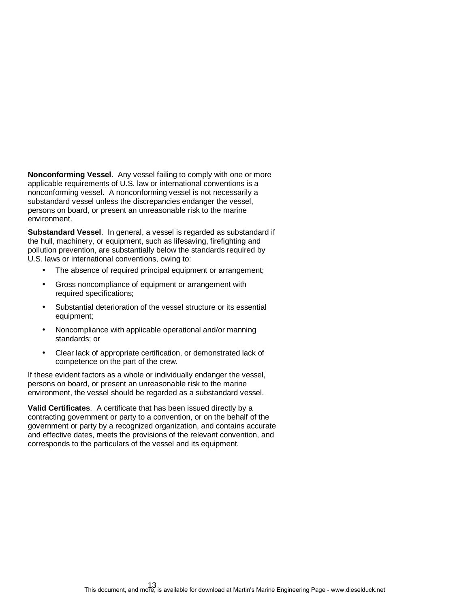**Nonconforming Vessel**. Any vessel failing to comply with one or more applicable requirements of U.S. law or international conventions is a nonconforming vessel. A nonconforming vessel is not necessarily a substandard vessel unless the discrepancies endanger the vessel, persons on board, or present an unreasonable risk to the marine environment.

**Substandard Vessel**. In general, a vessel is regarded as substandard if the hull, machinery, or equipment, such as lifesaving, firefighting and pollution prevention, are substantially below the standards required by U.S. laws or international conventions, owing to:

- The absence of required principal equipment or arrangement;
- Gross noncompliance of equipment or arrangement with required specifications;
- Substantial deterioration of the vessel structure or its essential equipment;
- Noncompliance with applicable operational and/or manning standards; or
- Clear lack of appropriate certification, or demonstrated lack of competence on the part of the crew.

If these evident factors as a whole or individually endanger the vessel, persons on board, or present an unreasonable risk to the marine environment, the vessel should be regarded as a substandard vessel.

**Valid Certificates**. A certificate that has been issued directly by a contracting government or party to a convention, or on the behalf of the government or party by a recognized organization, and contains accurate and effective dates, meets the provisions of the relevant convention, and corresponds to the particulars of the vessel and its equipment.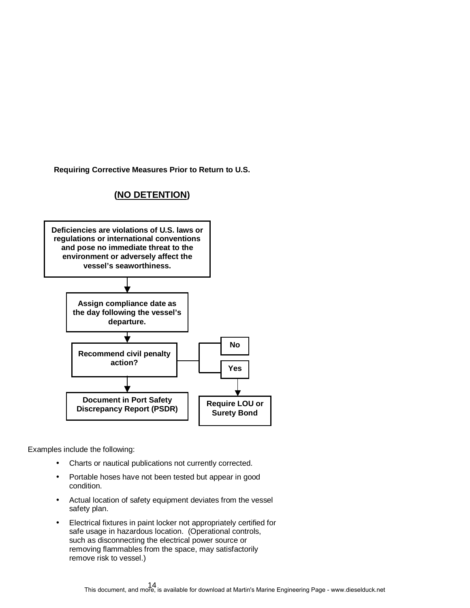**Requiring Corrective Measures Prior to Return to U.S.** 





- Charts or nautical publications not currently corrected.
- Portable hoses have not been tested but appear in good condition.
- Actual location of safety equipment deviates from the vessel safety plan.
- Electrical fixtures in paint locker not appropriately certified for safe usage in hazardous location. (Operational controls, such as disconnecting the electrical power source or removing flammables from the space, may satisfactorily remove risk to vessel.)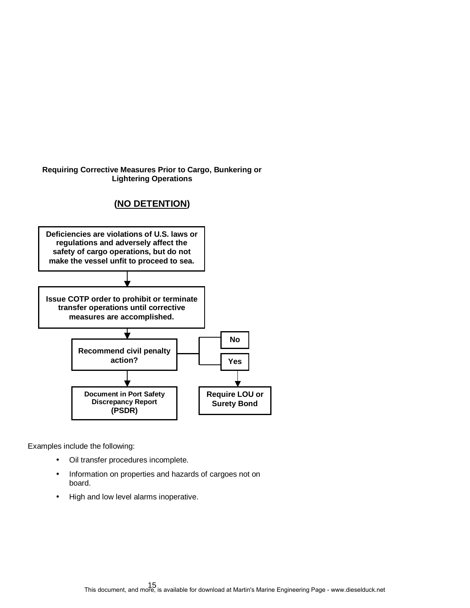#### **Requiring Corrective Measures Prior to Cargo, Bunkering or Lightering Operations**

## **(NO DETENTION)**



- Oil transfer procedures incomplete.
- Information on properties and hazards of cargoes not on board.
- High and low level alarms inoperative.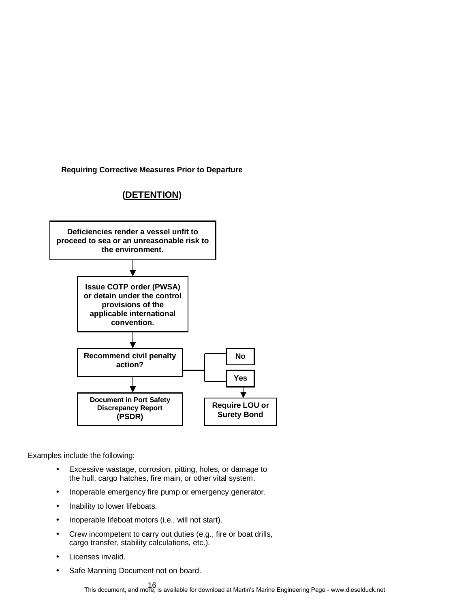**Requiring Corrective Measures Prior to Departure** 

## **(DETENTION)**



- Excessive wastage, corrosion, pitting, holes, or damage to the hull, cargo hatches, fire main, or other vital system.
- Inoperable emergency fire pump or emergency generator.
- Inability to lower lifeboats.
- Inoperable lifeboat motors (i.e., will not start).
- Crew incompetent to carry out duties (e.g., fire or boat drills, cargo transfer, stability calculations, etc.).
- Licenses invalid.
- Safe Manning Document not on board.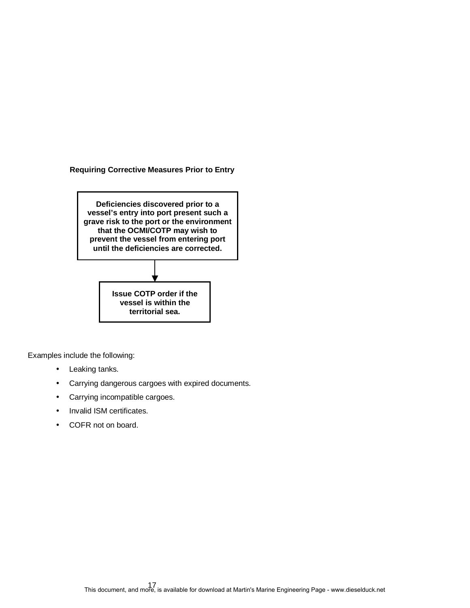**Requiring Corrective Measures Prior to Entry** 



- Leaking tanks.
- Carrying dangerous cargoes with expired documents.
- Carrying incompatible cargoes.
- Invalid ISM certificates.
- COFR not on board.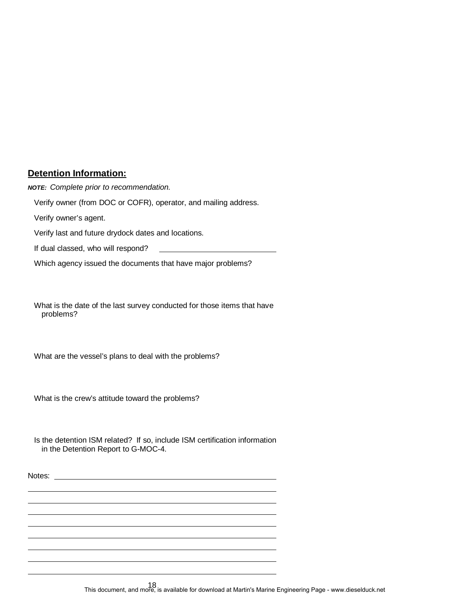#### **Detention Information:**

**NOTE:** Complete prior to recommendation. Verify owner (from DOC or COFR), operator, and mailing address. Verify owner's agent. Verify last and future drydock dates and locations. If dual classed, who will respond?

Which agency issued the documents that have major problems?

What is the date of the last survey conducted for those items that have problems?

What are the vessel's plans to deal with the problems?

What is the crew's attitude toward the problems?

Is the detention ISM related? If so, include ISM certification information in the Detention Report to G-MOC-4.

Notes: when the contract of the contract of the contract of the contract of the contract of the contract of the contract of the contract of the contract of the contract of the contract of the contract of the contract of th

18 This document, and more, is available for download at Martin's Marine Engineering Page - www.dieselduck.net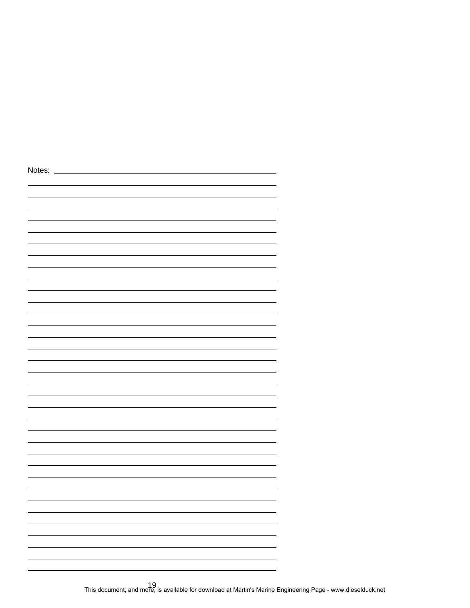| Notes: |  |  |  |
|--------|--|--|--|
|        |  |  |  |
|        |  |  |  |
|        |  |  |  |
|        |  |  |  |
|        |  |  |  |
|        |  |  |  |
|        |  |  |  |
|        |  |  |  |
|        |  |  |  |
|        |  |  |  |
|        |  |  |  |
|        |  |  |  |
|        |  |  |  |
|        |  |  |  |
|        |  |  |  |
|        |  |  |  |
|        |  |  |  |
|        |  |  |  |
|        |  |  |  |
|        |  |  |  |
|        |  |  |  |
|        |  |  |  |
|        |  |  |  |
|        |  |  |  |
|        |  |  |  |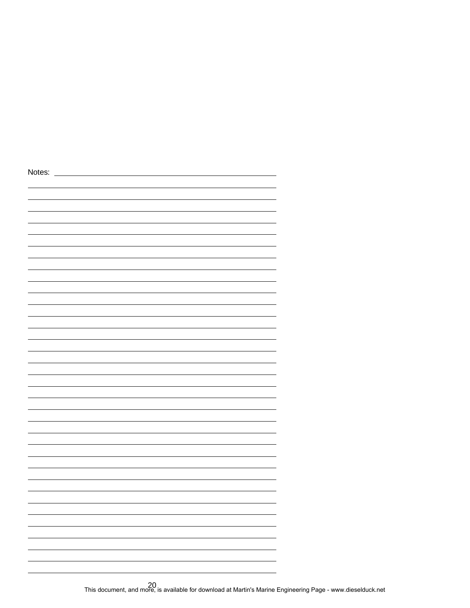| Notes: |  |  |
|--------|--|--|
|        |  |  |
|        |  |  |
|        |  |  |
|        |  |  |
|        |  |  |
|        |  |  |
|        |  |  |
|        |  |  |
|        |  |  |
|        |  |  |
|        |  |  |
|        |  |  |
|        |  |  |
|        |  |  |
|        |  |  |
|        |  |  |
|        |  |  |
|        |  |  |
|        |  |  |
|        |  |  |
|        |  |  |
|        |  |  |
|        |  |  |
|        |  |  |
|        |  |  |
|        |  |  |
|        |  |  |
|        |  |  |
|        |  |  |
|        |  |  |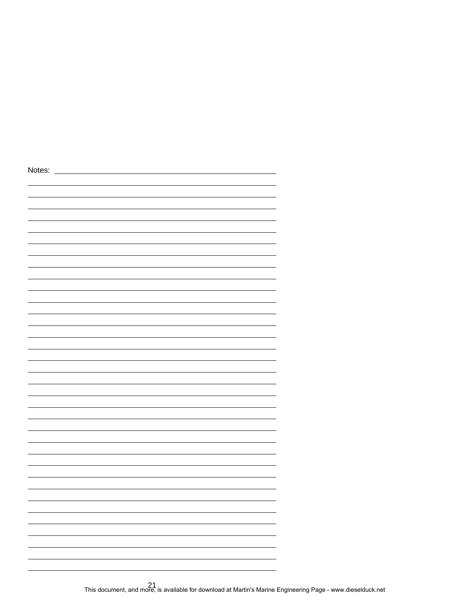| Notes: |  |
|--------|--|
|        |  |
|        |  |
|        |  |
|        |  |
|        |  |
|        |  |
|        |  |
|        |  |
|        |  |
|        |  |
|        |  |
|        |  |
|        |  |
|        |  |
|        |  |
|        |  |
|        |  |
|        |  |
|        |  |
|        |  |
|        |  |
|        |  |
|        |  |
|        |  |
|        |  |
|        |  |
|        |  |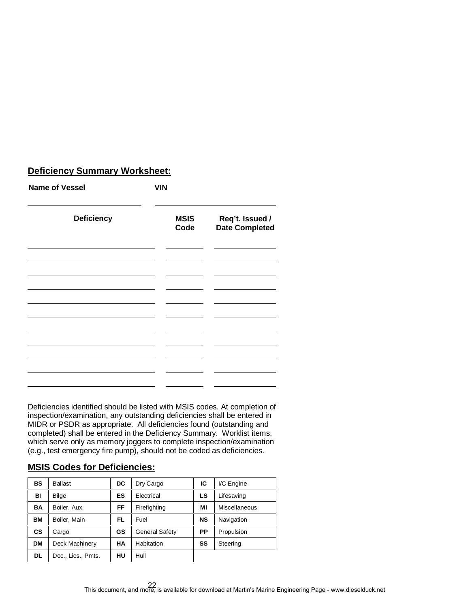## **Deficiency Summary Worksheet:**

| <b>Name of Vessel</b> | <b>VIN</b>          |                                          |  |
|-----------------------|---------------------|------------------------------------------|--|
| <b>Deficiency</b>     | <b>MSIS</b><br>Code | Req't. Issued /<br><b>Date Completed</b> |  |
|                       |                     |                                          |  |
|                       |                     |                                          |  |
|                       |                     |                                          |  |
|                       |                     |                                          |  |

Deficiencies identified should be listed with MSIS codes. At completion of inspection/examination, any outstanding deficiencies shall be entered in MIDR or PSDR as appropriate. All deficiencies found (outstanding and completed) shall be entered in the Deficiency Summary. Worklist items, which serve only as memory joggers to complete inspection/examination (e.g., test emergency fire pump), should not be coded as deficiencies.

## **MSIS Codes for Deficiencies:**

| BS        | <b>Ballast</b>     | DC | Dry Cargo             | IС        | I/C Engine           |
|-----------|--------------------|----|-----------------------|-----------|----------------------|
| BI        | Bilge              | ES | Electrical            | LS        | Lifesaving           |
| BA        | Boiler, Aux.       | FF | Firefighting          | МI        | <b>Miscellaneous</b> |
| ВM        | Boiler, Main       | FL | Fuel                  | <b>NS</b> | Navigation           |
| <b>CS</b> | Cargo              | GS | <b>General Safety</b> | РP        | Propulsion           |
| <b>DM</b> | Deck Machinery     | НA | Habitation            | SS        | Steering             |
| <b>DL</b> | Doc., Lics., Pmts. | HU | Hull                  |           |                      |